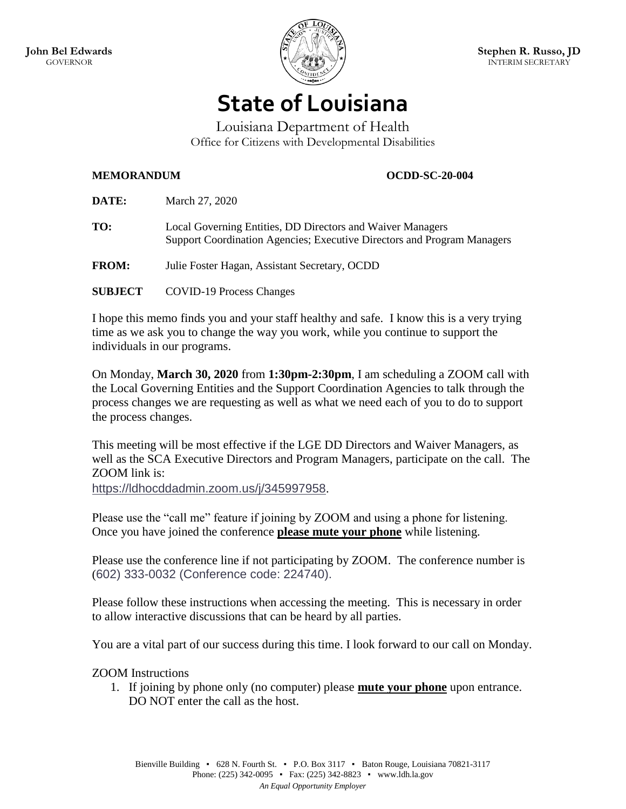

## **State of Louisiana**

Louisiana Department of Health Office for Citizens with Developmental Disabilities

## **MEMORANDUM OCDD-SC-20-004**

| <b>DATE:</b>   | March 27, 2020                                                                                                                        |
|----------------|---------------------------------------------------------------------------------------------------------------------------------------|
| TO:            | Local Governing Entities, DD Directors and Waiver Managers<br>Support Coordination Agencies; Executive Directors and Program Managers |
| <b>FROM:</b>   | Julie Foster Hagan, Assistant Secretary, OCDD                                                                                         |
| <b>SUBJECT</b> | <b>COVID-19 Process Changes</b>                                                                                                       |

I hope this memo finds you and your staff healthy and safe. I know this is a very trying time as we ask you to change the way you work, while you continue to support the individuals in our programs.

On Monday, **March 30, 2020** from **1:30pm-2:30pm**, I am scheduling a ZOOM call with the Local Governing Entities and the Support Coordination Agencies to talk through the process changes we are requesting as well as what we need each of you to do to support the process changes.

This meeting will be most effective if the LGE DD Directors and Waiver Managers, as well as the SCA Executive Directors and Program Managers, participate on the call. The ZOOM link is:

<https://ldhocddadmin.zoom.us/j/345997958>.

Please use the "call me" feature if joining by ZOOM and using a phone for listening. Once you have joined the conference **please mute your phone** while listening.

Please use the conference line if not participating by ZOOM. The conference number is (602) 333-0032 (Conference code: 224740).

Please follow these instructions when accessing the meeting. This is necessary in order to allow interactive discussions that can be heard by all parties.

You are a vital part of our success during this time. I look forward to our call on Monday.

ZOOM Instructions

1. If joining by phone only (no computer) please **mute your phone** upon entrance. DO NOT enter the call as the host.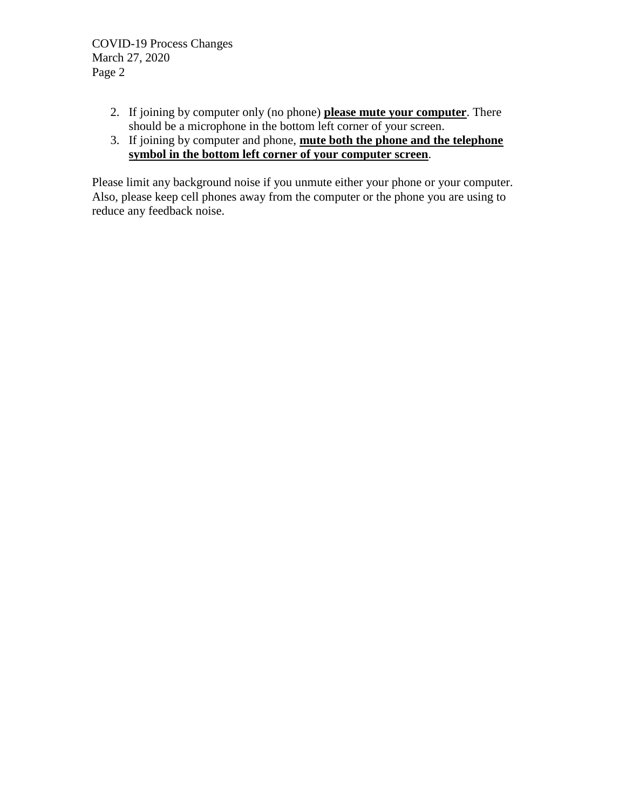- 2. If joining by computer only (no phone) **please mute your computer**. There should be a microphone in the bottom left corner of your screen.
- 3. If joining by computer and phone, **mute both the phone and the telephone symbol in the bottom left corner of your computer screen**.

Please limit any background noise if you unmute either your phone or your computer. Also, please keep cell phones away from the computer or the phone you are using to reduce any feedback noise.